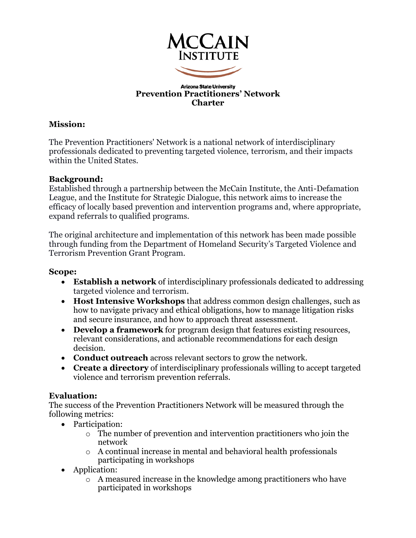

#### **Arizona State University Prevention Practitioners' Network Charter**

### **Mission:**

The Prevention Practitioners' Network is a national network of interdisciplinary professionals dedicated to preventing targeted violence, terrorism, and their impacts within the United States.

### **Background:**

Established through a partnership between the McCain Institute, the Anti-Defamation League, and the Institute for Strategic Dialogue, this network aims to increase the efficacy of locally based prevention and intervention programs and, where appropriate, expand referrals to qualified programs.

The original architecture and implementation of this network has been made possible through funding from the Department of Homeland Security's Targeted Violence and Terrorism Prevention Grant Program.

### **Scope:**

- **Establish a network** of interdisciplinary professionals dedicated to addressing targeted violence and terrorism.
- **Host Intensive Workshops** that address common design challenges, such as how to navigate privacy and ethical obligations, how to manage litigation risks and secure insurance, and how to approach threat assessment.
- **Develop a framework** for program design that features existing resources, relevant considerations, and actionable recommendations for each design decision.
- **Conduct outreach** across relevant sectors to grow the network.
- **Create a directory** of interdisciplinary professionals willing to accept targeted violence and terrorism prevention referrals.

### **Evaluation:**

The success of the Prevention Practitioners Network will be measured through the following metrics:

- Participation:
	- o The number of prevention and intervention practitioners who join the network
	- o A continual increase in mental and behavioral health professionals participating in workshops
- Application:
	- o A measured increase in the knowledge among practitioners who have participated in workshops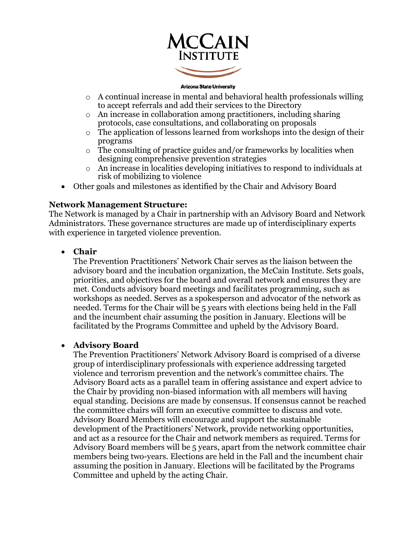

#### **Arizona State University**

- $\circ$  A continual increase in mental and behavioral health professionals willing to accept referrals and add their services to the Directory
- o An increase in collaboration among practitioners, including sharing protocols, case consultations, and collaborating on proposals
- o The application of lessons learned from workshops into the design of their programs
- $\circ$  The consulting of practice guides and/or frameworks by localities when designing comprehensive prevention strategies
- o An increase in localities developing initiatives to respond to individuals at risk of mobilizing to violence
- Other goals and milestones as identified by the Chair and Advisory Board

#### **Network Management Structure:**

The Network is managed by a Chair in partnership with an Advisory Board and Network Administrators. These governance structures are made up of interdisciplinary experts with experience in targeted violence prevention.

• **Chair**

The Prevention Practitioners' Network Chair serves as the liaison between the advisory board and the incubation organization, the McCain Institute. Sets goals, priorities, and objectives for the board and overall network and ensures they are met. Conducts advisory board meetings and facilitates programming, such as workshops as needed. Serves as a spokesperson and advocator of the network as needed. Terms for the Chair will be 5 years with elections being held in the Fall and the incumbent chair assuming the position in January. Elections will be facilitated by the Programs Committee and upheld by the Advisory Board.

#### • **Advisory Board**

The Prevention Practitioners' Network Advisory Board is comprised of a diverse group of interdisciplinary professionals with experience addressing targeted violence and terrorism prevention and the network's committee chairs. The Advisory Board acts as a parallel team in offering assistance and expert advice to the Chair by providing non-biased information with all members will having equal standing. Decisions are made by consensus. If consensus cannot be reached the committee chairs will form an executive committee to discuss and vote. Advisory Board Members will encourage and support the sustainable development of the Practitioners' Network, provide networking opportunities, and act as a resource for the Chair and network members as required. Terms for Advisory Board members will be 5 years, apart from the network committee chair members being two-years. Elections are held in the Fall and the incumbent chair assuming the position in January. Elections will be facilitated by the Programs Committee and upheld by the acting Chair.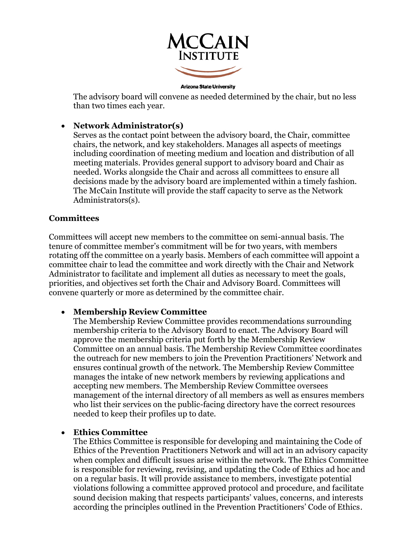

**Arizona State University** 

The advisory board will convene as needed determined by the chair, but no less than two times each year.

### • **Network Administrator(s)**

Serves as the contact point between the advisory board, the Chair, committee chairs, the network, and key stakeholders. Manages all aspects of meetings including coordination of meeting medium and location and distribution of all meeting materials. Provides general support to advisory board and Chair as needed. Works alongside the Chair and across all committees to ensure all decisions made by the advisory board are implemented within a timely fashion. The McCain Institute will provide the staff capacity to serve as the Network Administrators(s).

### **Committees**

Committees will accept new members to the committee on semi-annual basis. The tenure of committee member's commitment will be for two years, with members rotating off the committee on a yearly basis. Members of each committee will appoint a committee chair to lead the committee and work directly with the Chair and Network Administrator to facilitate and implement all duties as necessary to meet the goals, priorities, and objectives set forth the Chair and Advisory Board. Committees will convene quarterly or more as determined by the committee chair.

#### • **Membership Review Committee**

The Membership Review Committee provides recommendations surrounding membership criteria to the Advisory Board to enact. The Advisory Board will approve the membership criteria put forth by the Membership Review Committee on an annual basis. The Membership Review Committee coordinates the outreach for new members to join the Prevention Practitioners' Network and ensures continual growth of the network. The Membership Review Committee manages the intake of new network members by reviewing applications and accepting new members. The Membership Review Committee oversees management of the internal directory of all members as well as ensures members who list their services on the public-facing directory have the correct resources needed to keep their profiles up to date.

#### • **Ethics Committee**

The Ethics Committee is responsible for developing and maintaining the Code of Ethics of the Prevention Practitioners Network and will act in an advisory capacity when complex and difficult issues arise within the network. The Ethics Committee is responsible for reviewing, revising, and updating the Code of Ethics ad hoc and on a regular basis. It will provide assistance to members, investigate potential violations following a committee approved protocol and procedure, and facilitate sound decision making that respects participants' values, concerns, and interests according the principles outlined in the Prevention Practitioners' Code of Ethics.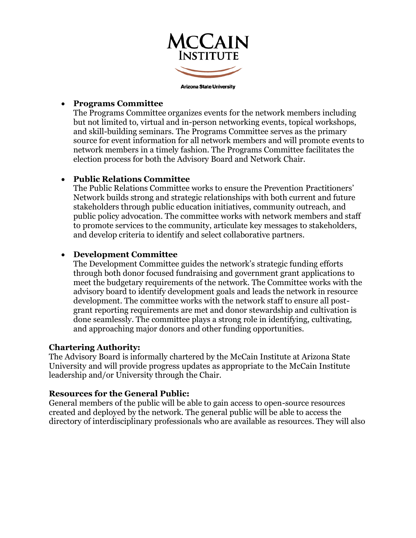

### • **Programs Committee**

The Programs Committee organizes events for the network members including but not limited to, virtual and in-person networking events, topical workshops, and skill-building seminars. The Programs Committee serves as the primary source for event information for all network members and will promote events to network members in a timely fashion. The Programs Committee facilitates the election process for both the Advisory Board and Network Chair.

### • **Public Relations Committee**

The Public Relations Committee works to ensure the Prevention Practitioners' Network builds strong and strategic relationships with both current and future stakeholders through public education initiatives, community outreach, and public policy advocation. The committee works with network members and staff to promote services to the community, articulate key messages to stakeholders, and develop criteria to identify and select collaborative partners.

### • **Development Committee**

The Development Committee guides the network's strategic funding efforts through both donor focused fundraising and government grant applications to meet the budgetary requirements of the network. The Committee works with the advisory board to identify development goals and leads the network in resource development. The committee works with the network staff to ensure all postgrant reporting requirements are met and donor stewardship and cultivation is done seamlessly. The committee plays a strong role in identifying, cultivating, and approaching major donors and other funding opportunities.

### **Chartering Authority:**

The Advisory Board is informally chartered by the McCain Institute at Arizona State University and will provide progress updates as appropriate to the McCain Institute leadership and/or University through the Chair.

### **Resources for the General Public:**

General members of the public will be able to gain access to open-source resources created and deployed by the network. The general public will be able to access the directory of interdisciplinary professionals who are available as resources. They will also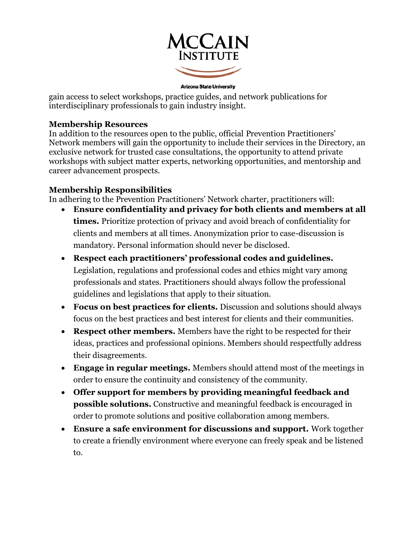

**Arizona State University** 

gain access to select workshops, practice guides, and network publications for interdisciplinary professionals to gain industry insight.

### **Membership Resources**

In addition to the resources open to the public, official Prevention Practitioners' Network members will gain the opportunity to include their services in the Directory, an exclusive network for trusted case consultations, the opportunity to attend private workshops with subject matter experts, networking opportunities, and mentorship and career advancement prospects.

# **Membership Responsibilities**

In adhering to the Prevention Practitioners' Network charter, practitioners will:

- **Ensure confidentiality and privacy for both clients and members at all times.** Prioritize protection of privacy and avoid breach of confidentiality for clients and members at all times. Anonymization prior to case-discussion is mandatory. Personal information should never be disclosed.
- **Respect each practitioners' professional codes and guidelines.** Legislation, regulations and professional codes and ethics might vary among professionals and states. Practitioners should always follow the professional guidelines and legislations that apply to their situation.
- **Focus on best practices for clients.** Discussion and solutions should always focus on the best practices and best interest for clients and their communities.
- **Respect other members.** Members have the right to be respected for their ideas, practices and professional opinions. Members should respectfully address their disagreements.
- **Engage in regular meetings.** Members should attend most of the meetings in order to ensure the continuity and consistency of the community.
- **Offer support for members by providing meaningful feedback and possible solutions.** Constructive and meaningful feedback is encouraged in order to promote solutions and positive collaboration among members.
- **Ensure a safe environment for discussions and support.** Work together to create a friendly environment where everyone can freely speak and be listened to.